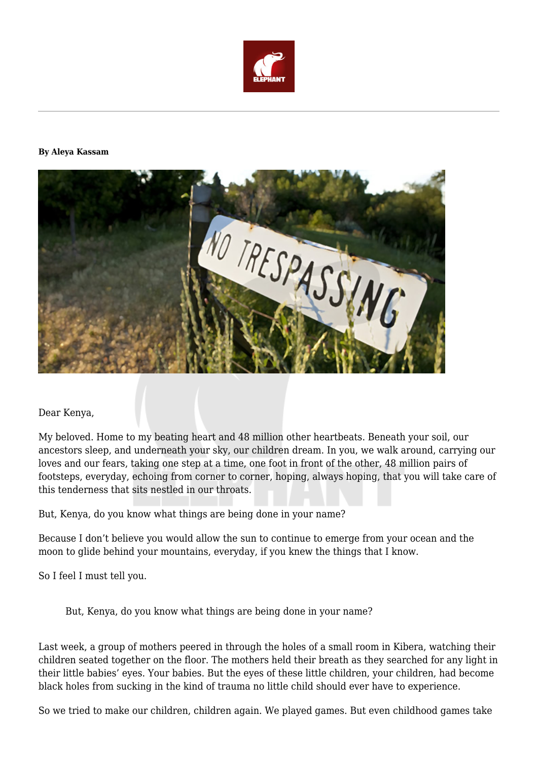

## **By Aleya Kassam**



## Dear Kenya,

My beloved. Home to my beating heart and 48 million other heartbeats. Beneath your soil, our ancestors sleep, and underneath your sky, our children dream. In you, we walk around, carrying our loves and our fears, taking one step at a time, one foot in front of the other, 48 million pairs of footsteps, everyday, echoing from corner to corner, hoping, always hoping, that you will take care of this tenderness that sits nestled in our throats.

But, Kenya, do you know what things are being done in your name?

Because I don't believe you would allow the sun to continue to emerge from your ocean and the moon to glide behind your mountains, everyday, if you knew the things that I know.

So I feel I must tell you.

But, Kenya, do you know what things are being done in your name?

Last week, a group of mothers peered in through the holes of a small room in Kibera, watching their children seated together on the floor. The mothers held their breath as they searched for any light in their little babies' eyes. Your babies. But the eyes of these little children, your children, had become black holes from sucking in the kind of trauma no little child should ever have to experience.

So we tried to make our children, children again. We played games. But even childhood games take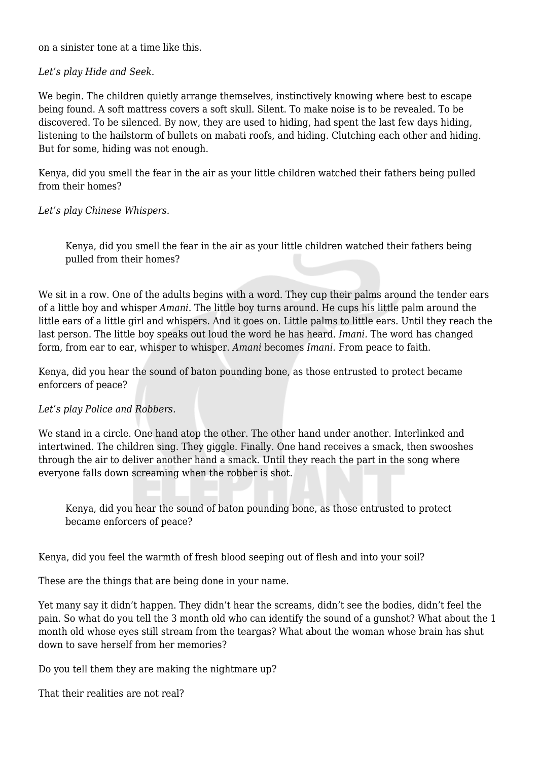on a sinister tone at a time like this.

## *Let's play Hide and Seek.*

We begin. The children quietly arrange themselves, instinctively knowing where best to escape being found. A soft mattress covers a soft skull. Silent. To make noise is to be revealed. To be discovered. To be silenced. By now, they are used to hiding, had spent the last few days hiding, listening to the hailstorm of bullets on mabati roofs, and hiding. Clutching each other and hiding. But for some, hiding was not enough.

Kenya, did you smell the fear in the air as your little children watched their fathers being pulled from their homes?

*Let's play Chinese Whispers.*

Kenya, did you smell the fear in the air as your little children watched their fathers being pulled from their homes?

We sit in a row. One of the adults begins with a word. They cup their palms around the tender ears of a little boy and whisper *Amani*. The little boy turns around. He cups his little palm around the little ears of a little girl and whispers. And it goes on. Little palms to little ears. Until they reach the last person. The little boy speaks out loud the word he has heard. *Imani.* The word has changed form, from ear to ear, whisper to whisper. *Amani* becomes *Imani.* From peace to faith.

Kenya, did you hear the sound of baton pounding bone, as those entrusted to protect became enforcers of peace?

## *Let's play Police and Robbers.*

We stand in a circle. One hand atop the other. The other hand under another. Interlinked and intertwined. The children sing. They giggle. Finally. One hand receives a smack, then swooshes through the air to deliver another hand a smack. Until they reach the part in the song where everyone falls down screaming when the robber is shot.

Kenya, did you hear the sound of baton pounding bone, as those entrusted to protect became enforcers of peace?

Kenya, did you feel the warmth of fresh blood seeping out of flesh and into your soil?

These are the things that are being done in your name.

Yet many say it didn't happen. They didn't hear the screams, didn't see the bodies, didn't feel the pain. So what do you tell the 3 month old who can identify the sound of a gunshot? What about the 1 month old whose eyes still stream from the teargas? What about the woman whose brain has shut down to save herself from her memories?

Do you tell them they are making the nightmare up?

That their realities are not real?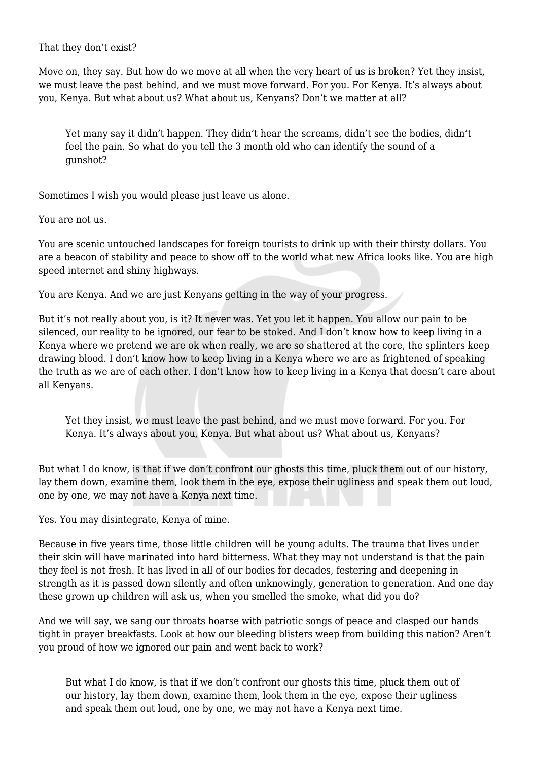That they don't exist?

Move on, they say. But how do we move at all when the very heart of us is broken? Yet they insist, we must leave the past behind, and we must move forward. For you. For Kenya. It's always about you, Kenya. But what about us? What about us, Kenyans? Don't we matter at all?

Yet many say it didn't happen. They didn't hear the screams, didn't see the bodies, didn't feel the pain. So what do you tell the 3 month old who can identify the sound of a gunshot?

Sometimes I wish you would please just leave us alone.

You are not us.

You are scenic untouched landscapes for foreign tourists to drink up with their thirsty dollars. You are a beacon of stability and peace to show off to the world what new Africa looks like. You are high speed internet and shiny highways.

You are Kenya. And we are just Kenyans getting in the way of your progress.

But it's not really about you, is it? It never was. Yet you let it happen. You allow our pain to be silenced, our reality to be ignored, our fear to be stoked. And I don't know how to keep living in a Kenya where we pretend we are ok when really, we are so shattered at the core, the splinters keep drawing blood. I don't know how to keep living in a Kenya where we are as frightened of speaking the truth as we are of each other. I don't know how to keep living in a Kenya that doesn't care about all Kenyans.

Yet they insist, we must leave the past behind, and we must move forward. For you. For Kenya. It's always about you, Kenya. But what about us? What about us, Kenyans?

But what I do know, is that if we don't confront our ghosts this time, pluck them out of our history, lay them down, examine them, look them in the eye, expose their ugliness and speak them out loud, one by one, we may not have a Kenya next time.

Yes. You may disintegrate, Kenya of mine.

Because in five years time, those little children will be young adults. The trauma that lives under their skin will have marinated into hard bitterness. What they may not understand is that the pain they feel is not fresh. It has lived in all of our bodies for decades, festering and deepening in strength as it is passed down silently and often unknowingly, generation to generation. And one day these grown up children will ask us, when you smelled the smoke, what did you do?

And we will say, we sang our throats hoarse with patriotic songs of peace and clasped our hands tight in prayer breakfasts. Look at how our bleeding blisters weep from building this nation? Aren't you proud of how we ignored our pain and went back to work?

But what I do know, is that if we don't confront our ghosts this time, pluck them out of our history, lay them down, examine them, look them in the eye, expose their ugliness and speak them out loud, one by one, we may not have a Kenya next time.